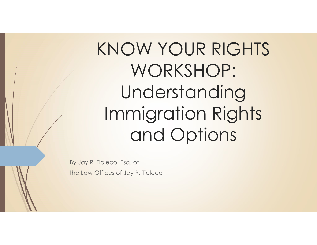# KNOW YOUR RIGHTS WORKSHOP: Understanding Immigration Rights and Options

By Jay R. Tioleco, Esq. of the Law Offices of Jay R. Tioleco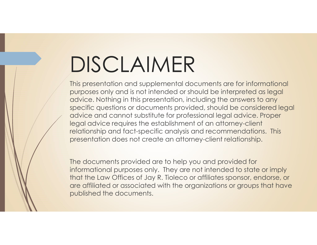# DISCLAIMER

This presentation and supplemental documents are for informational purposes only and is not intended or should be interpreted as legal advice. Nothing in this presentation, including the answers to any specific questions or documents provided, should be considered legal advice and cannot substitute for professional legal advice. Proper legal advice requires the establishment of an attorney-client relationship and fact-specific analysis and recommendations. This presentation does not create an attorney-client relationship.

The documents provided are to help you and provided for informational purposes only. They are not intended to state or imply that the Law Offices of Jay R. Tioleco or affiliates sponsor, endorse, or are affiliated or associated with the organizations or groups that have published the documents.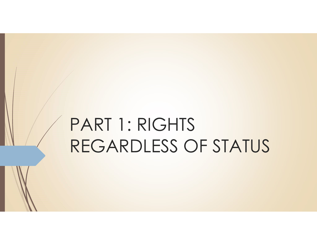# PART 1: RIGHTS REGARDLESS OF STATUS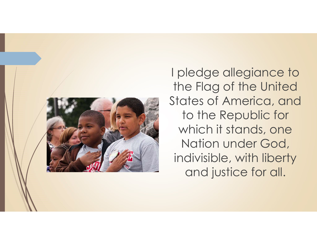

I pledge allegiance to<br>the Flag of the United the Flag of the United States of America, and to the Republic for which it stands, one Nation under God, indivisible, with liberty and justice for all.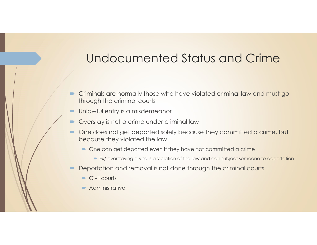#### Undocumented Status and Crime

- Criminals are normally those who have violated criminal law and must go through the criminal courts
- **D** Unlawful entry is a misdemeanor
- **Overstay is not a crime under criminal law**
- One does not get deported solely because they committed a crime, but because they violated the law
	- One can get deported even if they have not committed a crime
		- Ex/ overstaying a visa is a violation of the law and can subject someone to deportation
- Deportation and removal is not done through the criminal courts
	- Civil courts
	- $\blacktriangleright$  Administrative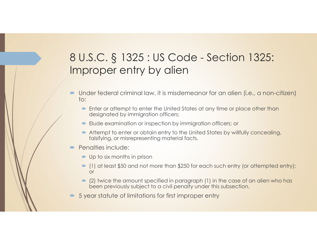# 8 U.S.C. § 1325 : US Code - Section 1325:<br>Improper entry by alien Improper entry by alien

- Under federal criminal law, it is misdemeanor for an alien (i.e., a non-citizen) to:
	- **Enter or attempt to enter the United States at any time or place other than** designated by immigration officers;
	- Elude examination or inspection by immigration officers; or
	- Attempt to enter or obtain entry to the United States by willfully concealing, falsifying, or misrepresenting material facts.
- Penalties include:
	- Up to six months in prison
	- (1) at least \$50 and not more than \$250 for each such entry (or attempted entry); or
	- $\blacksquare$  (2) twice the amount specified in paragraph (1) in the case of an alien who has been previously subject to a civil penalty under this subsection.
- 5 year statute of limitations for first improper entry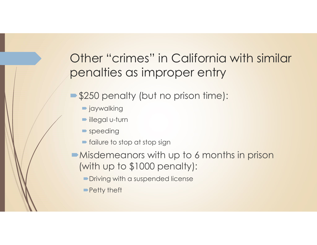#### Other "crimes" in California with similar penalties as improper entry

- ■\$250 penalty (but no prison time):
	- **p**iaywalking
	- llegal u-turn
	- **Speeding**
	- failure to stop at stop sign
- Misdemeanors with up to 6 months in prison (with up to \$1000 penalty):
	- **Driving with a suspended license**
	- **Petty theft**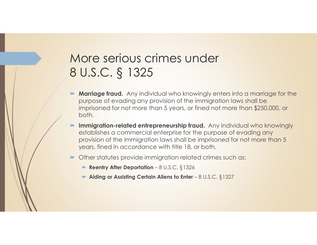# More serious crimes under More serious crimes under<br>8 U.S.C. § 1325<br>- Marriage fraud. Any individual who knowingly enters into a major process of overding any provision of the immigration lows shall

- Marriage fraud. Any individual who knowingly enters into a marriage for the purpose of evading any provision of the immigration laws shall be imprisoned for not more than 5 years, or fined not more than \$250,000, or both.
- Immigration-related entrepreneurship fraud. Any individual who knowingly establishes a commercial enterprise for the purpose of evading any provision of the immigration laws shall be imprisoned for not more than 5 years, fined in accordance with title 18, or both. **J.S.C.**  $\S$  1325<br> **Administration** – Any individual who knowingly enters into a marriage for the unprisoned for not more than 5 years, or fined not more than \$250,000, or oth.<br> **Any individual who knowingly enters into a Analytical Any** individual who knowingly enters into a marriage for the unitypose of evading any provision of the inmigration laws shall be upprisoned for not more than 5 years, or fined not more than \$250,000, or poth.<br>
- Other statutes provide immigration related crimes such as:
	-
	-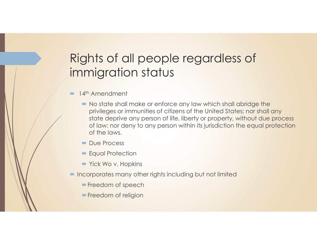#### Rights of all people regardless of immigration status

- 14th Amendment
- No state shall make or enforce any law which shall abridge the privileges or immunities of citizens of the United States; nor shall any state deprive any person of life, liberty or property, without due process of law; nor deny to any person within its jurisdiction the equal protection of the laws. Writing Company of the United State<br>
We divided a state shall make or enforce any law which shall<br>
privileges or immunities of citizens of the United State<br>
state deprive any person of life, liberty or property,<br>
of law; n
	- Due Process
	- **Equal Protection**
	-
- **Incorporates many other rights including but not limited** 
	- **Freedom of speech**
	- **Freedom of religion**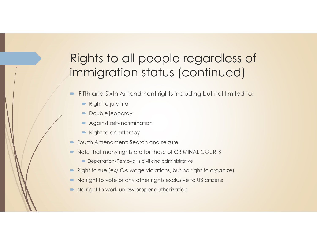#### Rights to all people regardless of immigration status (continued)

- Fifth and Sixth Amendment rights including but not limited to:
	- Right to jury trial
	- **Double jeopardy**
	- **Against self-incrimination**
	- Right to an attorney
- **Fourth Amendment: Search and seizure**
- Note that many rights are for those of CRIMINAL COURTS
	- Deportation/Removal is civil and administrative
- Right to sue (ex/ CA wage violations, but no right to organize)
- No right to vote or any other rights exclusive to US citizens
- No right to work unless proper authorization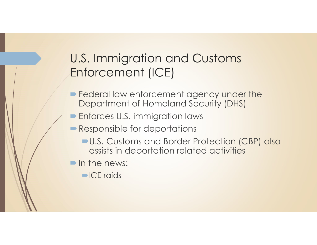# U.S. Immigration and Customs Enforcement (ICE) S. Immigration and Customs<br>
iforcement (ICE)<br>
Federal law enforcement agency under the<br>
Department of Homeland Security (DHS)<br>
Enforces U.S. immigration laws<br>
Responsible for deportations<br>
- U.S. Customs and Border Protect

- **Federal law enforcement agency under the** Department of Homeland Security (DHS)
- **Enforces U.S. immigration laws**
- **Responsible for deportations** 
	- assists in deportation related activities
- $\blacksquare$  In the news:
	- **ICE** raids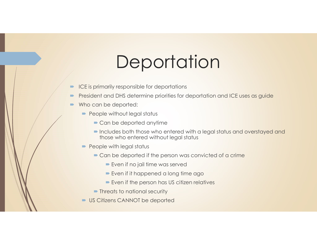# **Deportation**

- **ICE is primarily responsible for deportations**
- **President and DHS determine priorities for deportation and ICE uses as guide**
- Who can be deported:
	- People without legal status
		- Can be deported anytime
		- Includes both those who entered with a legal status and overstayed and those who entered without legal status
	- People with legal status
		- Can be deported if the person was convicted of a crime
			- **Even if no jail time was served**
			- **Even if it happened a long time ago**
			- $\blacktriangleright$  Even if the person has US citizen relatives
		- Threats to national security
	- **US Citizens CANNOT be deported**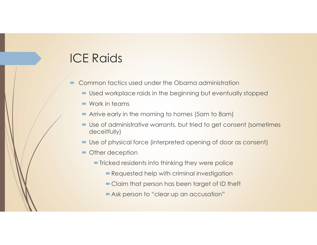#### ICE Raids

- Common tactics used under the Obama administration
	- Used workplace raids in the beginning but eventually stopped
	- Work in teams
	- Arrive early in the morning to homes (5am to 8am)
	- Use of administrative warrants, but tried to get consent (sometimes deceitfully)
	- Use of physical force (interpreted opening of door as consent)
	- **Other deception** 
		- $\blacksquare$  Tricked residents into thinking they were police
			- Requested help with criminal investigation
			- Claim that person has been target of ID theft
			- Ask person to "clear up an accusation"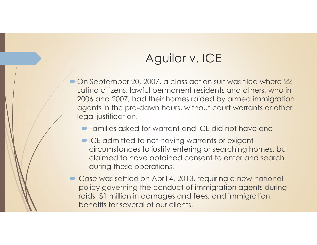### Aguilar v. ICE

- On September 20, 2007, a class action suit was filed where 22 Latino citizens, lawful permanent residents and others, who in 2006 and 2007, had their homes raided by armed immigration agents in the pre-dawn hours, without court warrants or other legal justification.
	- **Families asked for warrant and ICE did not have one**
	- ICE admitted to not having warrants or exigent circumstances to justify entering or searching homes, but claimed to have obtained consent to enter and search during these operations.
- Case was settled on April 4, 2013, requiring a new national policy governing the conduct of immigration agents during raids; \$1 million in damages and fees; and immigration benefits for several of our clients.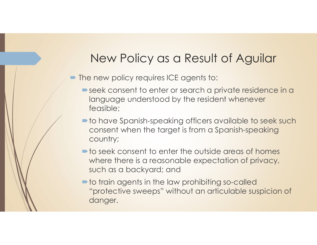#### New Policy as a Result of Aguilar

**The new policy requires ICE agents to:** 

- seek consent to enter or search a private residence in a language understood by the resident whenever feasible;
- **•** to have Spanish-speaking officers available to seek such consent when the target is from a Spanish-speaking country;
- **to seek consent to enter the outside areas of homes** where there is a reasonable expectation of privacy, such as a backyard; and
- **•** to train agents in the law prohibiting so-called "protective sweeps" without an articulable suspicion of danger.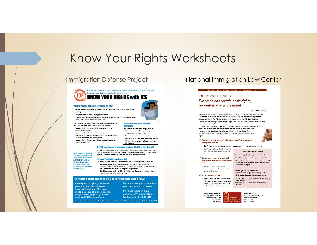#### Know Your Rights Worksheets

#### Immigration Defense Project National Immigration Law Center



#### Who is at risk of being arrested by ICEP

The law allows the federal government to deport certain immigrants, including:

- . Anyone without lawful immigration status
- . People with status (e.g., lawful permanent residents, refugees and visa holders) who have certain criminal convictions

#### The people the Trump Administration announced ICE will initially focus on deporting include:

· people with pending criminal cases and/or prior criminal convictions:

· people with final orders of removal;

Immigration and Customs

Enforcement (ICE) is one of the federal governm

agencies responsible

for departing people

ICE is part of the U.S.

Security (DHS).

**Department of Homeland** 

- · people who have committed fraud or misrepresentation in applications to the government;
- \* people they believe pose a threat to public safety or national security

#### Are ICE agents approaching anyone they think they can deport?

US citizens.

**CONVICTIONS** 

ICE agents usually identify the person they want to arrest ahead of time. Then, they go to homes, courthouses, shelters and even workplaces to look for that person. Sometimes they wait on the street to make the arrest.

#### If I know I'm at risk, what can I do?

. Make a plan with your loved ones in case you are picked up by ICE! . Avoid contact with Immigration - don't apply to change your

- immigration status or to renew your greencard and don't travel outside of the United States without talking to a lawyer first!
- . Avoid contact with the Criminal Justice System (the police share your fingerprints with Immigration)!

#### IF YOU OR A LOVED ONE IS AT RISK OF DEPORTATION, HAVE A PLAN!

Knowing which rights you have and exercising them is complicated. For more information on ICE community arrests, please see IDP's longer booklet at immigrantdefenseproject.org/ice-arrests

If you want to report a raid within NYC. call IDP at 212-725-6422

People with legal states and prior

You didn't serve time in jail;

Be aware: You may be a target even if:

Your case was minor or a misdemeanor:

. You've been an LPR for a long time; and/or

. All the other members of your family are

Your conviction is from years ago:

If you want to report a raid outside of NYC, contact United We Dream at 1-844-363-1423

ese materials are provided for informational purposes and do not constitute legal advice. Images & Content © IDP 2011

NATIONAL INNIGRATION LAW CENTER | WWW.NILC.ORG

#### **KNOW YOUR RIGHTS**

Everyone has certain basic rights, no matter who is president

#### NOVEMBER 10, 2016

By now everyone knows that Donald Trump has been elected president of the United States and will begin to serve his term in January 2017. No matter who is president, everyone living in the U.S. has certain basic rights under the U.S. Constitution. Undocumented immigrants have these rights, too. It is important that we all assert and protect our basic rights.

If you find you have to deal with Immigration and Customs Enforcement (ICE) or other law enforcement officers at home, on the street, or anywhere else. remember that you have the rights described in this factsheet. The factsheet also provides suggestions for what you should do to assert your rights.

#### √ You have the right to remain silent. You may refuse to speak to immigration officers

. Don't answer any questions. You may also say that you want to remain silent

- were born or how you entered the **KNOW YOUR RIGHTS!** If you are stopped by immigration or the police: ← Carry a know-your-rights card and / Hand this card to the officer, and remain silent. show it if an immigration officer stops  $\checkmark$  <br> The card explains that you are exercising your right to refuse to answer any questions until you have
- . The card explains that you will remain silent and that you wish to
- speak with an attorney.

. Don't say anything about where you

#### $\checkmark$  Do not open your door.

Los ANGELES (Headquarters)

Los Angeles, CA 90010

213 639-3900

213 639-3911 fax

3435 Wilshire Blvd. #108 - 62

 $\mathbf{u}$ 

VOU.

. To be allowed to enter your home. ICE must have a warrant signed by a judge. Do not open your door unless an ICE agent shows you a warrant

> WASHINGTON, DC 1121 14th Street, NW, Ste. 200 Washington DC 20005 202 216-0261 202 216-0266 fax

Thank yo



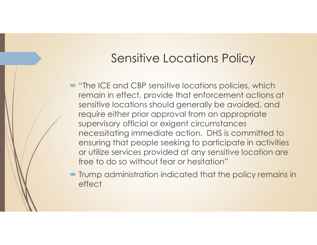#### Sensitive Locations Policy

- **"The ICE and CBP sensitive locations policies, which** remain in effect, provide that enforcement actions at sensitive locations should generally be avoided, and require either prior approval from an appropriate supervisory official or exigent circumstances Sensitive Locations Policy<br>
"The ICE and CBP sensitive locations policies, which<br>
remain in effect, provide that enforcement actions at<br>
sensitive locations should generally be avoided, and<br>
require either prior approval f ensuring that people seeking to participate in activities or utilize services provided at any sensitive location are free to do so without fear or hesitation"
- **Trump administration indicated that the policy remains in** effect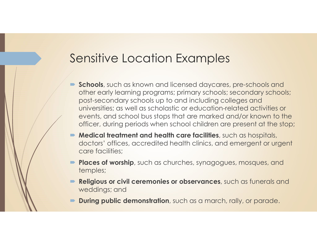#### Sensitive Location Examples

- **Schools**, such as known and licensed daycares, pre-schools and other early learning programs; primary schools; secondary schools; post-secondary schools up to and including colleges and universities; as well as scholastic or education-related activities or events, and school bus stops that are marked and/or known to the officer, during periods when school children are present at the stop;
- **Medical treatment and health care facilities**, such as hospitals, doctors' offices, accredited health clinics, and emergent or urgent care facilities;
- **Places of worship**, such as churches, synagogues, mosques, and temples;
- **Religious or civil ceremonies or observances**, such as funerals and weddings; and
- **During public demonstration**, such as a march, rally, or parade.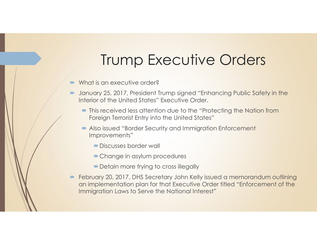# Trump Executive Orders **Trump Executive Orders**<br>at is an executive order?<br>uary 25, 2017, President Trump signed "Enhancing Public Safety in the<br>rior of the United States" Executive Order.<br>This received less attention due to the "Protecting the N

- What is an executive order?
- January 25, 2017, President Trump signed "Enhancing Public Safety in the Interior of the United States" Executive Order.
	- This received less attention due to the "Protecting the Nation from
	- **Also issued "Border Security and Immigration Enforcement** Improvements"
		- Discusses border wall
		- Change in asylum procedures
		- Detain more trying to cross illegally
- February 20, 2017, DHS Secretary John Kelly issued a memorandum outlining an implementation plan for that Executive Order titled "Enforcement of the Immigration Laws to Serve the National Interest"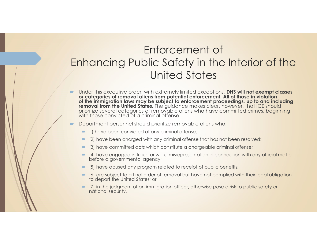# Enforcement of Enhancing Public Safety in the Interior of the United States Enhancing Public Safety in the Interior of the<br>United States<br>Direct this executive order, with extremely limited exceptions, DHS will not exempt classes<br>or categories of removal aliens from potential enforcement. All of th **Enforcement of**<br> **Contains and the United States of the United States (States)**<br> **Container**<br> **Container**<br> **Container**<br> **Container this executive order, with extremely limited exceptions, DHS will not exempt classes<br>
or c**

- 
- Department personnel should prioritize removable aliens who:
	- **ID** (I) have been convicted of any criminal offense;
	- (2) have been charged with any criminal offense that has not been resolved;
	- (3) have committed acts which constitute a chargeable criminal offense;
	- (4) have engaged in fraud or willful misrepresentation in connection with any official matter before a governmental agency;
	- (5) have abused any program related to receipt of public benefits;
	- (6) are subject to a final order of removal but have not complied with their legal obligation to depart the United States; or
	- (7) in the judgment of an immigration officer, otherwise pose a risk to public safety or national security.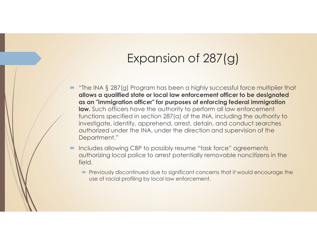### Expansion of 287(g)

- Expansion of 287(g)<br>
"The INA § 287(g) Program has been a highly successful force multiplier that<br>
allows a qualified state or local law enforcement officer to be designated<br>
as an "immigration officer" for purposes of enf allows a qualified state or local law enforcement officer to be designated as an "immigration officer" for purposes of enforcing federal immigration law. Such officers have the authority to perform all law enforcement functions specified in section 287(a) of the INA, including the authority to investigate, identify, apprehend, arrest, detain, and conduct searches authorized under the INA, under the direction and supervision of the Department."
- Includes allowing CBP to possibly resume "task force" agreements authorizing local police to arrest potentially removable noncitizens in the field.
	- **Previously discontinued due to significant concerns that it would encourage the** use of racial profiling by local law enforcement.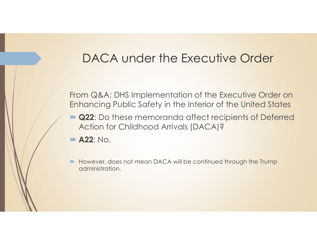#### DACA under the Executive Order

From Q&A: DHS Implementation of the Executive Order on Enhancing Public Safety in the Interior of the United States

- **Q22:** Do these memoranda affect recipients of Deferred Action for Childhood Arrivals (DACA)?
- $\blacktriangleright$  A22: No.

**However, does not mean DACA will be continued through the Trump** administration.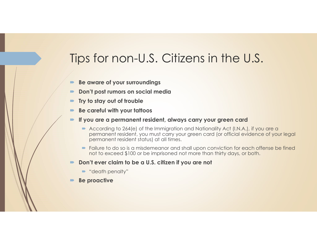#### Tips for non-U.S. Citizens in the U.S.

- Be aware of your surroundings
- **Don't post rumors on social media**
- $\blacksquare$  Try to stay out of trouble
- $\blacksquare$  Be careful with your tattoos
- If you are a permanent resident, always carry your green card
	- According to 264(e) of the Immigration and Nationality Act (I.N.A.), if you are a permanent resident, you must carry your green card (or official evidence of your legal permanent resident status) at all times.
	- **Failure to do so is a misdemeanor and shall upon conviction for each offense be fined** not to exceed \$100 or be imprisoned not more than thirty days, or both.
- Don't ever claim to be a U.S. citizen if you are not
	- "death penalty"
- Be proactive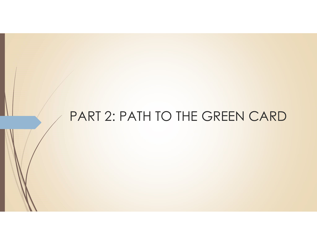### PART 2: PATH TO THE GREEN CARD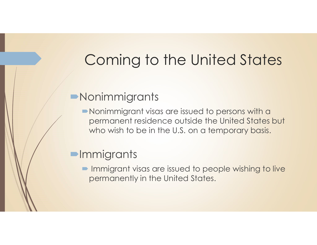# Coming to the United States

#### **Nonimmigrants**

Nonimmigrant visas are issued to persons with a permanent residence outside the United States but who wish to be in the U.S. on a temporary basis.

#### **Immigrants**

**Immigrant visas are issued to people wishing to live** permanently in the United States.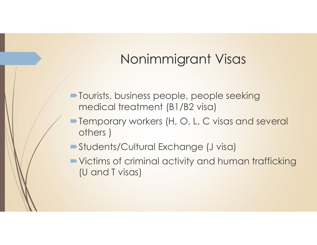## Nonimmigrant Visas

- **Tourists, business people, people seeking** medical treatment (B1/B2 visa)
- **Temporary workers (H, O, L, C visas and several** others )
- Students/Cultural Exchange (J visa)
- Victims of criminal activity and human trafficking (U and T visas)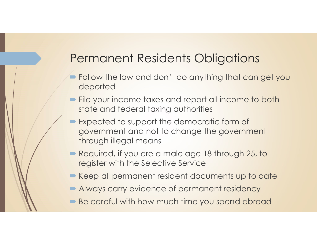### Permanent Residents Obligations

- **Follow the law and don't do anything that can get you** deported
- **File your income taxes and report all income to both** state and federal taxing authorities
- Expected to support the democratic form of government and not to change the government through illegal means
- Required, if you are a male age 18 through 25, to register with the Selective Service
- Keep all permanent resident documents up to date
- Always carry evidence of permanent residency
- Be careful with how much time you spend abroad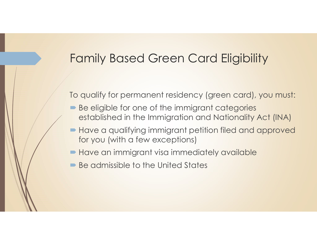### Family Based Green Card Eligibility

To qualify for permanent residency (green card), you must:

- Be eligible for one of the immigrant categories established in the Immigration and Nationality Act (INA)
- **Have a qualifying immigrant petition filed and approved** for you (with a few exceptions)
- **Have an immigrant visa immediately available**
- Be admissible to the United States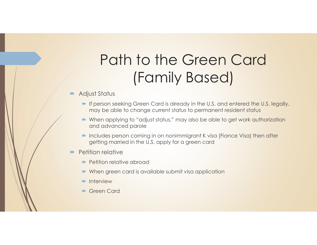# Path to the Green Card (Family Based) Path to the Green Card<br>
(Family Based)<br>
(Family Based)<br>
Interval (Family Based)<br>
If person seeking Green Card is already in the U.S. and entered the U.S. legally,<br>
Includes to change current status to permanent resident st

- **Adjust Status** 
	- **If person seeking Green Card is already in the U.S. and entered the U.S. legally,** may be able to change current status to permanent resident status
	- When applying to "adjust status," may also be able to get work authorization and advanced parole
	- getting married in the U.S. apply for a green card
- **Petition relative** 
	- **Petition relative abroad**
	- When green card is available submit visa application
	- $\blacksquare$ Interview
	- **Green Card**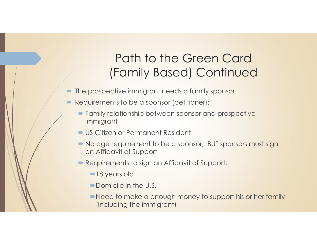#### Path to the Green Card (Family Based) Continued

- The prospective immigrant needs a family sponsor.
- Requirements to be a sponsor (petitioner):
	- **Family relationship between sponsor and prospective** immigrant
	- US Citizen or Permanent Resident
	- $\blacksquare$  No age requirement to be a sponsor, BUT sponsors must sign an Affidavit of Support
	- Requirements to sign an Affidavit of Support:
		- **18 years old**
		- Domicile in the U.S.
		- Need to make a enough money to support his or her family (including the immigrant)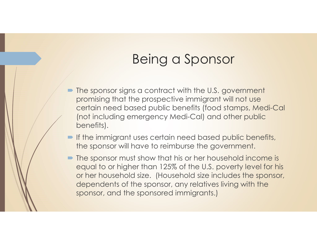## Being a Sponsor

- The sponsor signs a contract with the U.S. government promising that the prospective immigrant will not use certain need based public benefits (food stamps, Medi-Cal (not including emergency Medi-Cal) and other public benefits).
- **If the immigrant uses certain need based public benefits,** the sponsor will have to reimburse the government.
- **The sponsor must show that his or her household income is** equal to or higher than 125% of the U.S. poverty level for his The sponsor signs a contract with the U.S. government<br>promising that the prospective immigrant will not use<br>certain need based public benefits (food stamps, Medi-Cal<br>(not including emergency Medi-Cal) and other public<br>bene dependents of the sponsor, any relatives living with the sponsor, and the sponsored immigrants.)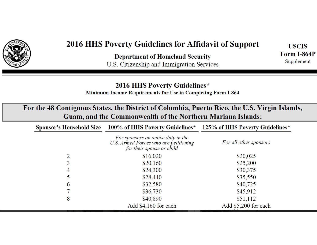

#### 2016 HHS Poverty Guidelines for Affidavit of Support

**Department of Homeland Security** U.S. Citizenship and Immigration Services

**USCIS Form I-864P** Supplement

#### 2016 HHS Poverty Guidelines\*

Minimum Income Requirements for Use in Completing Form I-864

For the 48 Contiguous States, the District of Columbia, Puerto Rico, the U.S. Virgin Islands, Guam, and the Commonwealth of the Northern Mariana Islands:

| <b>Sponsor's Household Size</b> | 100% of HHS Poverty Guidelines*                                                                          | 125% of HHS Poverty Guidelines* |  |  |
|---------------------------------|----------------------------------------------------------------------------------------------------------|---------------------------------|--|--|
|                                 | For sponsors on active duty in the<br>U.S. Armed Forces who are petitioning<br>for their spouse or child | For all other sponsors          |  |  |
|                                 | \$16,020                                                                                                 | \$20,025                        |  |  |
|                                 | \$20,160                                                                                                 | \$25,200                        |  |  |
|                                 | \$24,300                                                                                                 | \$30,375                        |  |  |
|                                 | \$28,440                                                                                                 | \$35,550                        |  |  |
| $\mathbf{O}$                    | \$32,580                                                                                                 | \$40,725                        |  |  |
|                                 | \$36,730                                                                                                 | \$45,912                        |  |  |
| 8                               | \$40,890                                                                                                 | \$51,112                        |  |  |
|                                 | Add \$4,160 for each                                                                                     | Add \$5,200 for each            |  |  |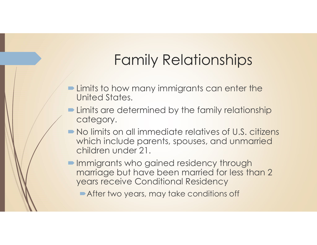## Family Relationships

- **Limits to how many immigrants can enter the** United States.
- **Example 2 Limits are determined by the family relationship** category.
- $\blacksquare$  No limits on all immediate relatives of U.S. citizens which include parents, spouses, and unmarried children under 21.
- Immigrants who gained residency through marriage but have been married for less than 2 years receive Conditional Residency
	- After two years, may take conditions off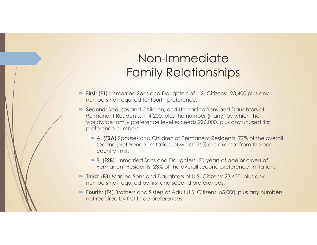# Non-Immediate Family Relationships Mon-Immediate<br>Family Relationships<br>First: (F1) Unmarried Sons and Daughters of U.S. Citizens: 23,400 plus any<br>numbers not required for fourth preference.<br>Formanent Residents: 114,200, plus the number (if any) by which the

- numbers not required for fourth preference.
- Second: Spouses and Children, and Unmarried Sons and Daughters of Permanent Residents: 114,200, plus the number (if any) by which the worldwide family preference level exceeds 226,000, plus any unused first preference numbers: Mon-Immediate<br>Family Relationships<br>State: (F1) Unmarried Sons and Daughters of U.S. Citizens: 23,400 plus any<br>mbers not required for fourth preference.<br>
Spouses and Children, and Unmarried Sons and Daughters of<br>
Termanent
	- second preference limitation, of which 75% are exempt from the percountry limit;
	- B. (F2B) Unmarried Sons and Daughters (21 years of age or older) of Permanent Residents: 23% of the overall second preference limitation.
- **Third: (F3)** Married Sons and Daughters of U.S. Citizens: 23,400, plus any numbers not required by first and second preferences.
- **Fourth: (F4)** Brothers and Sisters of Adult U.S. Citizens: 65,000, plus any numbers not required by first three preferences.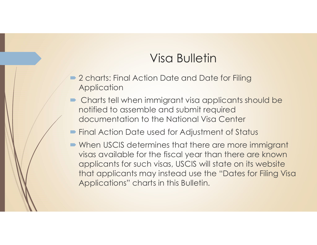#### Visa Bulletin

- 2 charts: Final Action Date and Date for Filing **Application**
- **Charts tell when immigrant visa applicants should be** notified to assemble and submit required documentation to the National Visa Center
- **Final Action Date used for Adjustment of Status**
- When USCIS determines that there are more immigrant visas available for the fiscal year than there are known applicants for such visas, USCIS will state on its website that applicants may instead use the "Dates for Filing Visa Applications" charts in this Bulletin.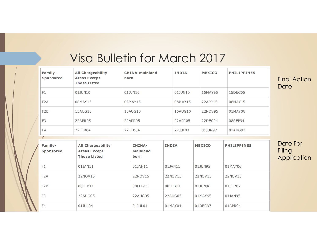#### Visa Bulletin for March 2017

| Family-<br>Sponsored | <b>All Chargeability</b><br><b>Areas Except</b><br><b>Those Listed</b> | born | <b>CHINA-mainland</b>      |              | <b>INDIA</b> | <b>MEXICO</b> | <b>PHILIPPINES</b> | <b>Final Action</b><br>Date       |
|----------------------|------------------------------------------------------------------------|------|----------------------------|--------------|--------------|---------------|--------------------|-----------------------------------|
| F1                   | 01JUN10                                                                |      | 01JUN10                    |              | 01JUN10      | 15MAY95       | 15DEC05            |                                   |
| F <sub>2</sub> A     | 08MAY15                                                                |      | 08MAY15                    |              | 08MAY15      | 22APR15       | 08MAY15            |                                   |
| F <sub>2</sub> B     | 15AUG10                                                                |      | 15AUG10                    |              | 15AUG10      | 22NOV95       | 01MAY06            |                                   |
| F3                   | 22APR05                                                                |      | 22APR05                    |              | 22APR05      | 22DEC94       | 08SEP94            |                                   |
| F4                   | 22FEB04                                                                |      | 22FEB04                    |              | 22JUL03      | 01JUN97       | 01AUG93            |                                   |
|                      |                                                                        |      |                            |              |              |               |                    |                                   |
|                      |                                                                        |      |                            |              |              |               |                    |                                   |
| Family-<br>Sponsored | <b>All Chargeability</b><br><b>Areas Except</b><br><b>Those Listed</b> |      | CHINA-<br>mainland<br>born | <b>INDIA</b> |              | <b>MEXICO</b> | <b>PHILIPPINES</b> | Date For<br>Filing<br>Application |
| F1                   | 01JAN11                                                                |      | 01JAN11                    | 01JAN11      |              | 01JUN95       | 01MAY06            |                                   |
| F <sub>2</sub> A     | 22NOV15                                                                |      | 22NOV15                    |              | 22NOV15      | 22NOV15       | 22NOV15            |                                   |
| F <sub>2</sub> B     | 08FEB11                                                                |      | 08FEB11                    | 08FEB11      |              | 01JUN96       | 01FEB07            |                                   |
| F3                   | 22AUG05                                                                |      | 22AUG05                    |              | 22AUG05      | 01MAY95       | 01JAN95            |                                   |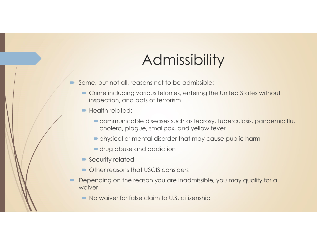# **Admissibility**

- Some, but not all, reasons not to be admissible:
	- **Crime including various felonies, entering the United States without** inspection, and acts of terrorism
	- **Health related:** 
		- communicable diseases such as leprosy, tuberculosis, pandemic flu, cholera, plague, smallpox, and yellow fever
		- physical or mental disorder that may cause public harm
		- **drug abuse and addiction**
	- Security related
	- $\blacksquare$  Other reasons that USCIS considers
- Depending on the reason you are inadmissible, you may qualify for a waiver
	- No waiver for false claim to U.S. citizenship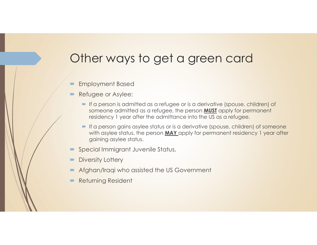#### Other ways to get a green card

- Employment Based
- Refugee or Asylee:
	- If a person is admitted as a refugee or is a derivative (spouse, children) of someone admitted as a refugee, the person **MUST** apply for permanent residency 1 year after the admittance into the US as a refugee.
- **If her ways to get a green card**<br>
mployment Based<br>
efugee or Asylee:<br> **If a person is admitted as a refugee** or is a derivative (spouse, children) of<br>
someone admitted as a refugee, the person **MUST** apply for permanent<br> **Net Ways to get a green card**<br>Doloyment Based<br>Ugee or Asylee:<br>If a person is admitted as a refugee or is a derivative (spouse, children) of<br>If a person <u>admitted as a refugee</u>, the person <u>MAY</u> apply for permanent<br>If a pe **Solution State of Community Conservance State State State State State State State State State State State State State State State State State State State State State Status.<br>
For a person is admitted as a refugee, the per**
- Special Immigrant Juvenile Status,
- **Diversity Lottery**
- Afghan/Iraqi who assisted the US Government
- Returning Resident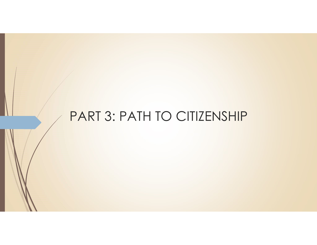## PART 3: PATH TO CITIZENSHIP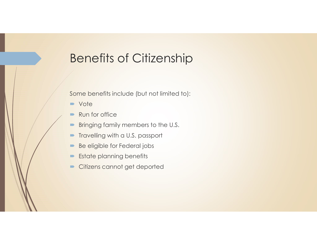#### Benefits of Citizenship

Some benefits include (but not limited to):

- **vote**
- **Run** for office
- **Bringing family members to the U.S.**
- Travelling with a U.S. passport
- Be eligible for Federal jobs
- **Estate planning benefits**
- **Citizens cannot get deported**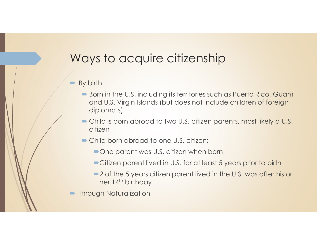### Ways to acquire citizenship

#### By birth

- Born in the U.S. including its territories such as Puerto Rico, Guam and U.S. Virgin Islands (but does not include children of foreign diplomats)
- Child is born abroad to two U.S. citizen parents, most likely a U.S. citizen
- Child born abroad to one U.S. citizen:
	- One parent was U.S. citizen when born
	- Citizen parent lived in U.S. for at least 5 years prior to birth
	- 2 of the 5 years citizen parent lived in the U.S. was after his or her 14<sup>th</sup> birthday
- Through Naturalization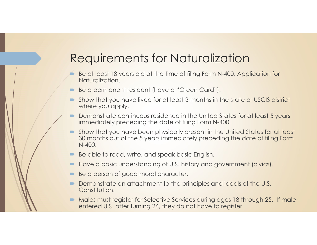#### Requirements for Naturalization

- Be at least 18 years old at the time of filing Form N-400, Application for Naturalization.
- Be a permanent resident (have a "Green Card").
- Show that you have lived for at least 3 months in the state or USCIS district where you apply.
- Demonstrate continuous residence in the United States for at least 5 years immediately preceding the date of filing Form N-400.
- Show that you have been physically present in the United States for at least 30 months out of the 5 years immediately preceding the date of filing Form N-400.
- Be able to read, write, and speak basic English.
- Have a basic understanding of U.S. history and government (civics).
- Be a person of good moral character.
- Demonstrate an attachment to the principles and ideals of the U.S. Constitution.
- Males must register for Selective Services during ages 18 through 25. If male entered U.S. after turning 26, they do not have to register.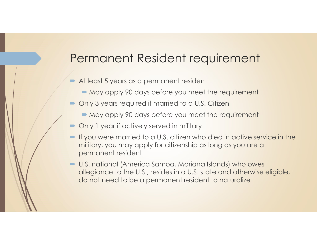#### Permanent Resident requirement

- At least 5 years as a permanent resident
	- May apply 90 days before you meet the requirement
- Only 3 years required if married to a U.S. Citizen
	- **May apply 90 days before you meet the requirement**
- Only 1 year if actively served in military
- If you were married to a U.S. citizen who died in active service in the military, you may apply for citizenship as long as you are a permanent resident
- U.S. national (America Samoa, Mariana Islands) who owes allegiance to the U.S., resides in a U.S. state and otherwise eligible, do not need to be a permanent resident to naturalize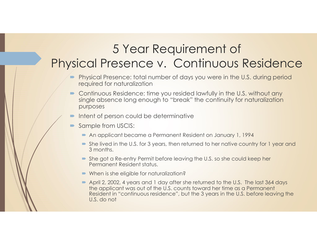#### 5 Year Requirement of Physical Presence v. Continuous Residence

- Physical Presence: total number of days you were in the U.S. during period required for naturalization
- Continuous Residence: time you resided lawfully in the U.S. without any single absence long enough to "break" the continuity for naturalization purposes
- Intent of person could be determinative
- Sample from USCIS:
	- An applicant became a Permanent Resident on January 1, 1994
	- She lived in the U.S. for 3 years, then returned to her native country for 1 year and 3 months.
	- $\blacksquare$  She got a Re-entry Permit before leaving the U.S. so she could keep her Permanent Resident status.
	- When is she eligible for naturalization?
	- April 2, 2002, 4 years and 1 day after she returned to the U.S. The last 364 days the applicant was out of the U.S. counts toward her time as a Permanent Resident in "continuous residence", but the 3 years in the U.S. before leaving the U.S. do not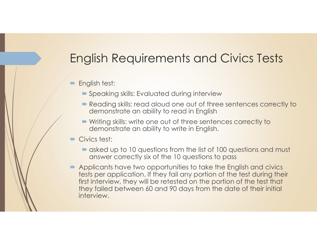### English Requirements and Civics Tests

- English test:
	- Speaking skills: Evaluated during interview
	- **Reading skills: read aloud one out of three sentences correctly to** demonstrate an ability to read in English
	- Writing skills: write one out of three sentences correctly to demonstrate an ability to write in English.
- Civics test:
	- **asked up to 10 questions from the list of 100 questions and must**
- **ylish Requirements and Civics Tes**<br> **Speaking skills:** Evaluated during interview<br> **Reading skills:** read aloud one out of three sentences corre<br>
demonstrate an ability to read in English<br>
Writing skills: write one out of Applicants have two opportunities to take the English and civics tests per application. If they fail any portion of the test during their first interview, they will be retested on the portion of the test that they failed between 60 and 90 days from the date of their initial interview.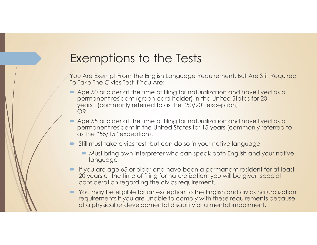#### Exemptions to the Tests

You Are Exempt From The English Language Requirement, But Are Still Required To Take The Civics Test If You Are:

- Age 50 or older at the time of filing for naturalization and have lived as a permanent resident (green card holder) in the United States for 20 **Example 19 Accommonly referred to as the Commonly referred to as the Civics Test If You Are:**<br>Take The Civics Test If You Are:<br>Age 50 or older at the time of filing for naturalization and have lived of<br>permanent resident OR **OR** STRUCK THE STRUCK STRUCK THE STRUCK STRUCK STRUCK STRUCK STRUCK STRUCK STRUCK STRUCK STRUCK STRUCK STRUCK STRUCK STRUCK STRUCK STRUCK STRUCK STRUCK STRUCK STRUCK STRUCK STRUCK STRUCK STRUCK STRUCK STRUCK STRUCK STR
- Age 55 or older at the time of filing for naturalization and have lived as a permanent resident in the United States for 15 years (commonly referred to as the "55/15" exception).
- Still must take civics test, but can do so in your native language
	- **Must bring own interpreter who can speak both English and your native** language
- If you are age 65 or older and have been a permanent resident for at least 20 years at the time of filing for naturalization, you will be given special consideration regarding the civics requirement.
- You may be eligible for an exception to the English and civics naturalization requirements if you are unable to comply with these requirements because of a physical or developmental disability or a mental impairment.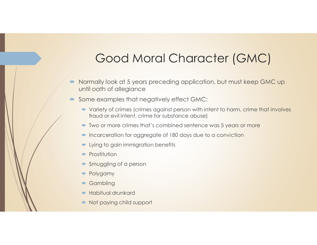#### Good Moral Character (GMC)

- Normally look at 5 years preceding application, but must keep GMC up until oath of allegiance
- Some examples that negatively effect GMC:
	- Variety of crimes (crimes against person with intent to harm, crime that involves fraud or evil intent, crime for substance abuse)
	- Two or more crimes that's combined sentence was 5 years or more
	- **Incarceration for aggregate of 180 days due to a conviction**
	- **D** Lying to gain immigration benefits
	- $\blacksquare$  Prostitution
	- **Smuggling of a person**
	- **Polygamy**
	- **Gambling**
	- **Habitual drunkard**
	- Not paying child support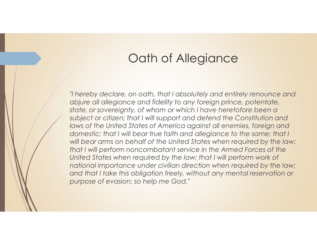#### Oath of Allegiance

"I hereby declare, on oath, that I absolutely and entirely renounce and abjure all allegiance and fidelity to any foreign prince, potentate, state, or sovereignty, of whom or which I have heretofore been a subject or citizen; that I will support and defend the Constitution and laws of the United States of America against all enemies, foreign and domestic; that I will bear true faith and allegiance to the same; that I will bear arms on behalf of the United States when required by the law; that I will perform noncombatant service in the Armed Forces of the United States when required by the law; that I will perform work of national importance under civilian direction when required by the law; and that I take this obligation freely, without any mental reservation or purpose of evasion; so help me God."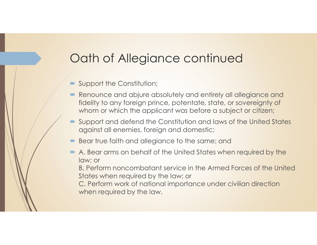### Oath of Allegiance continued

- Support the Constitution;
- Renounce and abjure absolutely and entirely all allegiance and fidelity to any foreign prince, potentate, state, or sovereignty of whom or which the applicant was before a subject or citizen;
- Support and defend the Constitution and laws of the United States against all enemies, foreign and domestic;
- Bear true faith and allegiance to the same; and
- A. Bear arms on behalf of the United States when required by the law; or

B. Perform noncombatant service in the Armed Forces of the United States when required by the law; or

C. Perform work of national importance under civilian direction when required by the law.